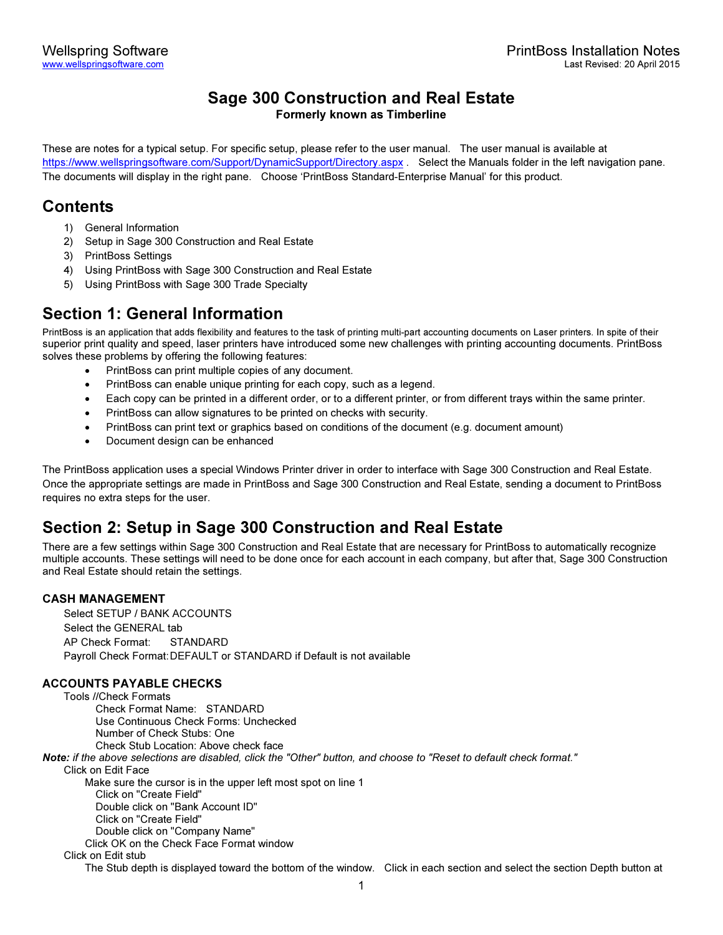# Sage 300 Construction and Real Estate

Formerly known as Timberline

These are notes for a typical setup. For specific setup, please refer to the user manual. The user manual is available at https://www.wellspringsoftware.com/Support/DynamicSupport/Directory.aspx . Select the Manuals folder in the left navigation pane. The documents will display in the right pane. Choose 'PrintBoss Standard-Enterprise Manual' for this product.

# Contents

- 1) General Information
- 2) Setup in Sage 300 Construction and Real Estate
- 3) PrintBoss Settings
- 4) Using PrintBoss with Sage 300 Construction and Real Estate
- 5) Using PrintBoss with Sage 300 Trade Specialty

# Section 1: General Information

PrintBoss is an application that adds flexibility and features to the task of printing multi-part accounting documents on Laser printers. In spite of their superior print quality and speed, laser printers have introduced some new challenges with printing accounting documents. PrintBoss solves these problems by offering the following features:

- PrintBoss can print multiple copies of any document.
- PrintBoss can enable unique printing for each copy, such as a legend.
- Each copy can be printed in a different order, or to a different printer, or from different trays within the same printer.
- PrintBoss can allow signatures to be printed on checks with security.
- PrintBoss can print text or graphics based on conditions of the document (e.g. document amount)
- Document design can be enhanced

The PrintBoss application uses a special Windows Printer driver in order to interface with Sage 300 Construction and Real Estate. Once the appropriate settings are made in PrintBoss and Sage 300 Construction and Real Estate, sending a document to PrintBoss requires no extra steps for the user.

# Section 2: Setup in Sage 300 Construction and Real Estate

There are a few settings within Sage 300 Construction and Real Estate that are necessary for PrintBoss to automatically recognize multiple accounts. These settings will need to be done once for each account in each company, but after that, Sage 300 Construction and Real Estate should retain the settings.

# CASH MANAGEMENT

Select SETUP / BANK ACCOUNTS Select the GENERAL tab AP Check Format: STANDARD Payroll Check Format: DEFAULT or STANDARD if Default is not available

# ACCOUNTS PAYABLE CHECKS

Tools //Check Formats Check Format Name: STANDARD Use Continuous Check Forms: Unchecked Number of Check Stubs: One Check Stub Location: Above check face Note: if the above selections are disabled, click the "Other" button, and choose to "Reset to default check format." Click on Edit Face Make sure the cursor is in the upper left most spot on line 1 Click on "Create Field" Double click on "Bank Account ID" Click on "Create Field" Double click on "Company Name" Click OK on the Check Face Format window Click on Edit stub The Stub depth is displayed toward the bottom of the window. Click in each section and select the section Depth button at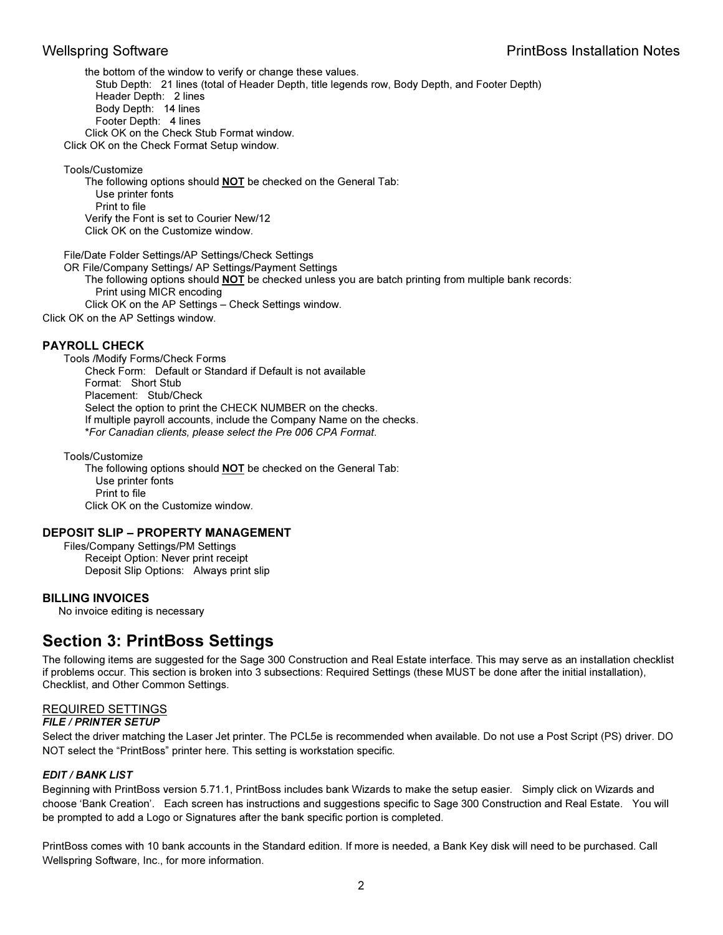the bottom of the window to verify or change these values. Stub Depth: 21 lines (total of Header Depth, title legends row, Body Depth, and Footer Depth) Header Depth: 2 lines Body Depth: 14 lines Footer Depth: 4 lines Click OK on the Check Stub Format window. Click OK on the Check Format Setup window.

Tools/Customize

 The following options should NOT be checked on the General Tab: Use printer fonts Print to file Verify the Font is set to Courier New/12 Click OK on the Customize window.

File/Date Folder Settings/AP Settings/Check Settings

OR File/Company Settings/ AP Settings/Payment Settings

The following options should **NOT** be checked unless you are batch printing from multiple bank records: Print using MICR encoding

Click OK on the AP Settings – Check Settings window.

Click OK on the AP Settings window.

### PAYROLL CHECK

Tools /Modify Forms/Check Forms Check Form: Default or Standard if Default is not available Format: Short Stub Placement: Stub/Check Select the option to print the CHECK NUMBER on the checks. If multiple payroll accounts, include the Company Name on the checks. \*For Canadian clients, please select the Pre 006 CPA Format.

Tools/Customize The following options should **NOT** be checked on the General Tab: Use printer fonts Print to file Click OK on the Customize window.

### DEPOSIT SLIP – PROPERTY MANAGEMENT

Files/Company Settings/PM Settings Receipt Option: Never print receipt Deposit Slip Options: Always print slip

### BILLING INVOICES

No invoice editing is necessary

# Section 3: PrintBoss Settings

The following items are suggested for the Sage 300 Construction and Real Estate interface. This may serve as an installation checklist if problems occur. This section is broken into 3 subsections: Required Settings (these MUST be done after the initial installation), Checklist, and Other Common Settings.

### REQUIRED SETTINGS

### FILE / PRINTER SETUP

Select the driver matching the Laser Jet printer. The PCL5e is recommended when available. Do not use a Post Script (PS) driver. DO NOT select the "PrintBoss" printer here. This setting is workstation specific.

## EDIT / BANK LIST

Beginning with PrintBoss version 5.71.1, PrintBoss includes bank Wizards to make the setup easier. Simply click on Wizards and choose 'Bank Creation'. Each screen has instructions and suggestions specific to Sage 300 Construction and Real Estate. You will be prompted to add a Logo or Signatures after the bank specific portion is completed.

PrintBoss comes with 10 bank accounts in the Standard edition. If more is needed, a Bank Key disk will need to be purchased. Call Wellspring Software, Inc., for more information.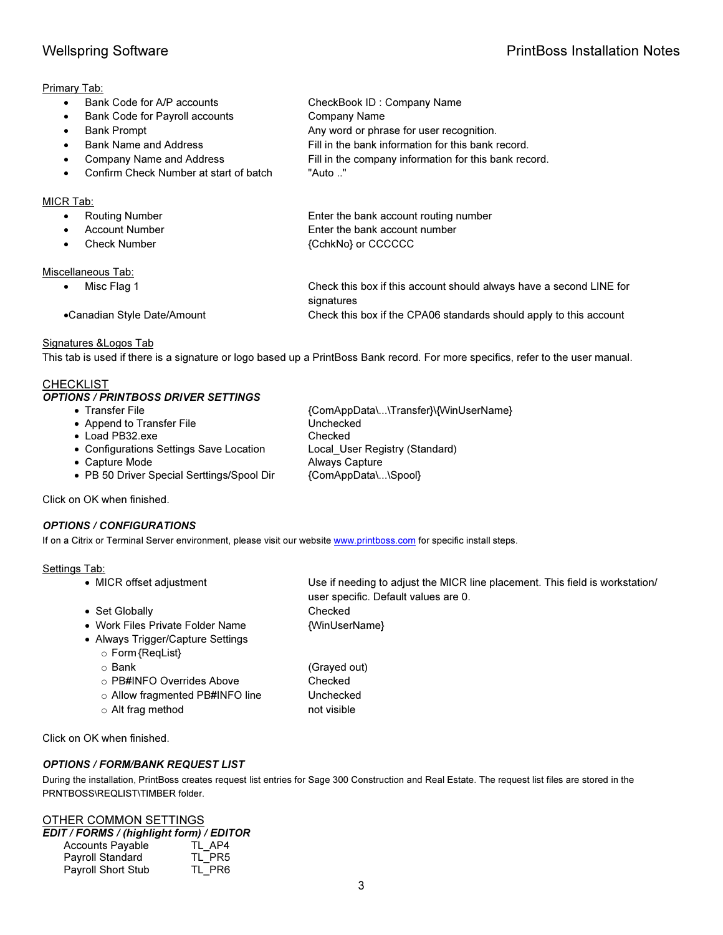# Primary Tab:

- Bank Code for A/P accounts CheckBook ID : Company Name
- Bank Code for Payroll accounts Company Name
- **Bank Prompt Conservation Any word or phrase for user recognition.**
- Bank Name and Address Fill in the bank information for this bank record.
- Company Name and Address Fill in the company information for this bank record.
- Confirm Check Number at start of batch "Auto .."

## MICR Tab:

| Routing Number        | Enter the bank account routing number |
|-----------------------|---------------------------------------|
| <b>Account Number</b> | Enter the bank account number         |
| Check Number          | {CchkNo} or CCCCCC                    |
| Miscellaneous Tab:    |                                       |

• Misc Flag 1 Check this box if this account should always have a second LINE for signatures •Canadian Style Date/Amount Check this box if the CPA06 standards should apply to this account

## Signatures &Logos Tab

This tab is used if there is a signature or logo based up a PrintBoss Bank record. For more specifics, refer to the user manual.

## **CHECKLIST**

## OPTIONS / PRINTBOSS DRIVER SETTINGS

| {ComAppData\\Transfer}\{WinUserName} |
|--------------------------------------|
| Unchecked                            |
| Checked                              |
| Local User Registry (Standard)       |
| <b>Always Capture</b>                |
| {ComAppData\\Spool}                  |
|                                      |

Click on OK when finished.

## OPTIONS / CONFIGURATIONS

If on a Citrix or Terminal Server environment, please visit our website www.printboss.com for specific install steps.

## Settings Tab:

- MICR offset adjustment Use if needing to adjust the MICR line placement. This field is workstation/ user specific. Default values are 0. • Set Globally **Checked**
- 
- Work Files Private Folder Name {WinUserName}
- Always Trigger/Capture Settings o Form {ReqList}
	- o Bank (Grayed out)
	- o PB#INFO Overrides Above Checked
	- o Allow fragmented PB#INFO line Unchecked
	- o Alt frag method not visible

Click on OK when finished.

## OPTIONS / FORM/BANK REQUEST LIST

During the installation, PrintBoss creates request list entries for Sage 300 Construction and Real Estate. The request list files are stored in the PRNTBOSS\REQLIST\TIMBER folder.

# OTHER COMMON SETTINGS

| <b>EDIT / FORMS / (highlight form) / EDITOR</b> |        |
|-------------------------------------------------|--------|
| <b>Accounts Payable</b>                         | TL AP4 |
| <b>Payroll Standard</b>                         | TL PR5 |
| <b>Payroll Short Stub</b>                       | TL PR6 |